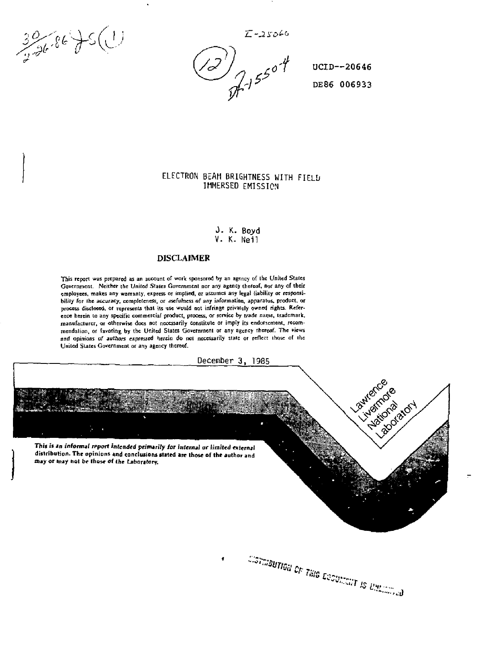**X\_--2i"L->£6** 

 $30.86$  JS(1)

*,/<P J r0'\* UCID--20646 *-l* DE86 006933

Cormbutted of Tale Ecoupment is union of

# ELECTRON BEAM BRIGHTNESS WITH FIELD IMMERSED EMISSION

J. K. Boyd V. K. Neil

### DISCLAIMER

**This report was prepared as an atcount of work sponsored by an agency of Ihc United Stales Government. Neither the United Stales Government nor any agency thereof, nor any of their employees, makes any warranty, express or implied, or assumes any legal liability or responsibility for the accuracy, completeness, or jsefulness** *of* **any information, apparatus, product, or process disclosed, or represents that its use would not infringe privately owned rights. Reference herein to any specific commercial product, process, or service by trade name, trademark, manufacturer, or otherwise docs not necessarily constitute or imply its endorsement, recommendation, or favoring, by the United Slates Government or any agency Thereof. The views and opinions** *of authors expressed* **herein do not necessarily state or reflect those of ihc United Slates Government or any agency thereof.** 

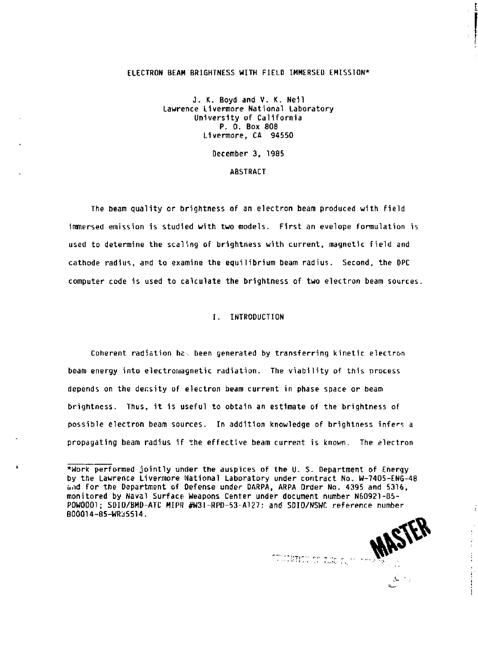## **ELECTRON BEAM BRIGHTNESS WITH FIELD IMMERSED EMISSION\***

**J.** *K.* **Boyd and V. K. Nell Lawrence Livermore National Laboratory University of California P. 0. Box 808 Livermore, CA 94550** 

**December 3, 1985** 

### **ABSTRACT**

**The beam quality or brightness of an electron beam produced with field immersed emission is studied with two models. First an evelope formulation is used to determine the scaling of brightness with current, magnetic field and cathode radius, and to examine the equilibrium beam radius. Second, the DPC computer code is used to calculate the brightness of two electron beam sources.** 

### **I. INTRODUCTION**

**Coherent radiation he . been generated by transferring kinetic electron beam energy into electromagnetic radiation. The viability of this process depends on the density of electron beam current in phase space or beam brightness. Thus, it is useful to obtain an estimate of the brightness of possible electron beam sources. In addition knowledge of brightness infers a propagating beam radius if the effective beam current is known. The electron** 

**MASIL** 

i

**<sup>\*</sup>Work performed jointly under the auspices of the U. S. Department of Energy by the Lawrence Livermore National Laboratory under contract No. W-7405-ENG-48 b.id for the Department of Defense under DARPA, ARPA Order No. 4395 and 5316, monitored by Naval Surface; Weapons Center under document number N60921-85-** POW0001: SDIO/BMD-ATC MIPR #W31-RPD-53-A127: and SDIO/NSWC reference number **B00014-85-WR35514.**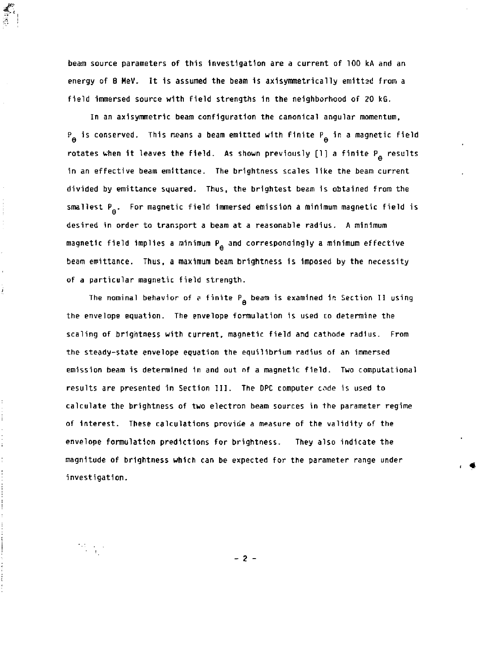**beam source parameters of this Investigation are a current of 100 kA and an energy of 8 MeV. It is assumed the beam 1s axisymmetrically emitted from a field immersed source with field strengths 1n the neighborhood of 20 kG.** 

**In an ax 1 symmetric beam configuration the canonical angular momentum, P<sub>A</sub>** is conserved. This means a beam emitted with finite P<sub>A</sub> in a magnetic field  $\mathbf{f}(\mathbf{f}(\mathbf{f})) = \mathbf{f}(\mathbf{f}(\mathbf{f}(\mathbf{f}(\mathbf{f}(\mathbf{f}(\mathbf{f}(\mathbf{f}(\mathbf{f}(\mathbf{f}(\mathbf{f}(\mathbf{f}(\mathbf{f}(\mathbf{f}(\mathbf{f}(\mathbf{f}(\mathbf{f}(\mathbf{f}(\mathbf{f}(\mathbf{f}(\mathbf{f}(\mathbf{f}(\mathbf{f}(\mathbf{f}(\mathbf{f}(\mathbf{f}(\mathbf{f}(\mathbf{f}(\mathbf{f}(\mathbf{f}(\mathbf{f}(\mathbf{f}(\mathbf{f}(\mathbf$ **rotates when 1t leaves the field. As shown previously [1] a finite P results**  in an effective beam emittance. The brightness scales like the beam current divided by emittance squared. Thus, the brightest beam is obtained from the smallest P<sub>a</sub>. For magnetic field immersed emission a minimum magnetic field is desired in order to transport a beam at a reasonable radius. A minimum magnetic field implies a minimum P<sub>e</sub> and correspondingly a minimum effective beam emittance. Thus, a maximum beam brightness is imposed by the necessity of a particular magnetic field strength.

The nominal behavior of a finite P<sub>e</sub> beam is examined in Section II using **The nominal behavior of P finite P beam is examined in Section II using s**  scaling of brightness with current, magnetic field and cathode radius. From the steady-state envelope equation the equilibrium radius of an immersed emission beam is determined in and out of a magnetic field. Two computational results are presented in Section III. The DPC computer code is used to calculate the brightness of two electron beam sources in the parameter regime of interest. These calculations provide a measure of the validity of the envelope formulation predictions for brightness. They also indicate the magnitude of brightness which can be expected for the parameter range under **magnitude of brightness which can be expected for the parameter range under** 

j

 $\mathcal{F}_{\mathcal{A}}^{(1)}$ 

**- 2 -**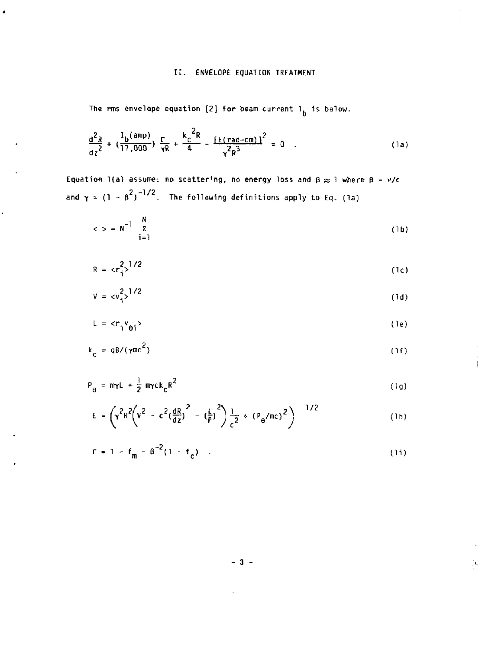# II. ENVELOPE EQUATION TREATMENT

The rms envelope equation [2] for beam current  $1_{\overset{1}{b}}$  is below.

$$
\frac{d^2R}{dz^2} + (\frac{I_b(\text{amp})}{17,000}) \frac{\Gamma}{\gamma R} + \frac{k_c^2R}{4} - \frac{[E(\text{rad-cm})]^2}{\gamma^2R^3} = 0
$$
 (1a)

Equation 1(a) assume: no scattering, no energy loss and  $\beta \approx 1$  where  $\beta = v/c$ and  $\gamma = (1 - \beta^2)^{-1/2}$ . The following definitions apply to Eq. (1a)

$$
\langle \rangle = N^{-1} \sum_{i=1}^{N} \tag{1b}
$$

$$
R = cr_i^2
$$
 (1c)

$$
V = c v_1^2 > \frac{1}{2}
$$
 (1d)

$$
L = \langle r_i v_{\theta i} \rangle
$$
 (1e)

$$
k_c = qB/(\gamma mc^2)
$$
 (1f)

Ţ

 $\mathcal{I}_{\mathbf{I}_i}$ 

$$
P_{\theta} = m\gamma L + \frac{1}{2} m\gamma c k_{c} R^{2}
$$
 (1g)

$$
E = \left( r^2 R^2 \left( v^2 - c^2 \left( \frac{dR}{dz} \right)^2 - \left( \frac{L}{P} \right)^2 \right) \frac{1}{c^2} + \left( P_{\Theta} / mc \right)^2 \right)^{-1/2}
$$
 (1b)

$$
\Gamma = 1 - f_m - \beta^{-2} (1 - f_c) \quad . \tag{11}
$$

 $-3 -$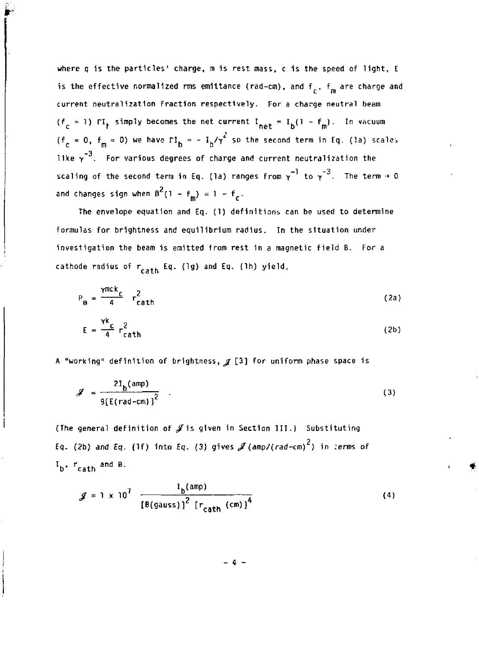**where q is the particles' charge, m is rest mass, c is the speed of light, E**  is the effective normalized rms emittance (rad-cm), and  $f_c$ ,  $f_m$  are charge and *cm*  current neutralization Fraction respectively. For a charge neutral beam (f<sub>c</sub> = 1)  $\Gamma I_t$  simply becomes the net current  $I_{\text{net}} = I_h(1 - f_m)$ . In vacuum (f = 0, f = 0) we have  $\Gamma I_{\rm b}$  = -  $I_{\rm b}/\gamma^2$  so the second term in Eq. (la) scales like  $\gamma^{-3}$ . For various degrees of charge and current neutralization the  $-1$   $+$   $-3$ scaling of the second terra 1n Eq. (la) ranges from *y* to *y* The term •» 0 and changes sign when  $\beta^2(1 - f_m) = 1 - f_m$ .

**The envelope equation and Eq. (1) definitions can be used to determine formulas for brightness and equilibrium radius. In the situation under investigation the beam is emitted from rest In a magnetic field B. For a**  cathode radius of r<sub>cath</sub> Eq. (1g) and Eq. (1h) yield,

$$
P_{\Theta} = \frac{\gamma mc k_c}{4} r_{cath}^2
$$
 (2a)  

$$
E = \frac{\gamma k_c}{4} r_{cath}^2
$$
 (2b)

A "working" definition of brightness,  $g$  [3] for uniform phase space is

$$
\mathcal{J} = \frac{2I_{b}(\text{amp})}{9\left[E(\text{rad-cm})\right]^2} \quad . \tag{3}
$$

**(The general definition of ./Is given 1n Section III.) Substituting Eq. (2b) and Eq. (If) into Eq. (3) gives** *Jf (amp/(***rad-cm) ) in ;erms of**   $I_{\rm b}$ ,  $r_{\rm cath}$  and B.

$$
f = 1 \times 10^{7} \frac{I_{b}(amp)}{[\theta(gauss)]^{2} [r_{cath}(cm)]^{4}}
$$
 (4)

**- 4 -**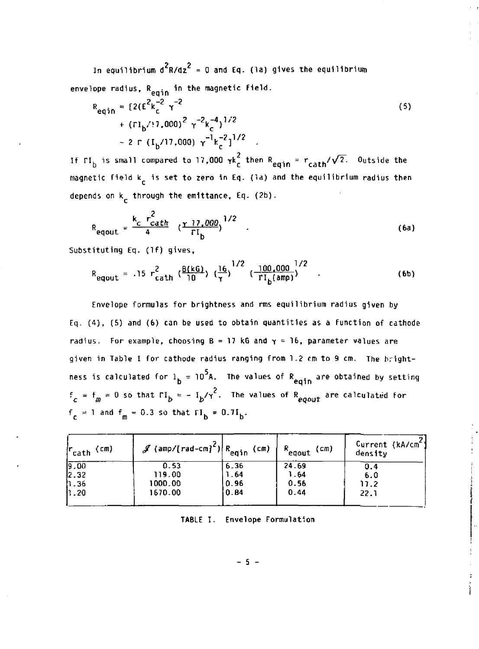**In equilibrium d<sup>2</sup> R/dz<sup>2</sup> = 0 and Eq. (la) gives the equilibrium**  envelope radius, R<sub>omin</sub> in the magnetic field.

$$
R_{eqin} = [2(\epsilon^{2}k_{c}^{-2}\gamma^{-2} + (rI_{b}/17,000)^{2}\gamma^{-2}k_{c}^{-4})^{1/2} - 2 \Gamma (I_{b}/17,000) \gamma^{-1}k_{c}^{-2}]^{1/2}
$$
 (5)

If  $\Gamma I_h$  is small compared to 17,000  $\gamma k_c^2$  then  $R_{eqin} = r_{cath}/\sqrt{2}$ . Outside the magnetic field k<sub>r</sub> is set to zero in Eq. (la) and the equilibrium radius then depends on k<sub>r</sub> through the emittance, Eq. (2b).

$$
R_{equut} = \frac{k_c r_{cath}^2}{4} \left(\frac{r}{r} \frac{17,000}{r} \right)^{1/2} \tag{6a}
$$

**Substituting Eq. (If) gives,** 

$$
R_{\text{equ}} = .15 r_{\text{cath}}^{2} \left( \frac{B(kG)}{10} \right) \left( \frac{16}{\tau} \right)^{1/2} \left( \frac{100,000}{r l_{\text{b}}(\text{amp})} \right)^{1/2} . \tag{6b}
$$

**Envelope formulas for brightness and rms equilibrium radius given by Eq. (4), (5) and (6) can be used to obtain quantities as a function of cathode radius. For example, choosing B = 17 kG and** *y* **= 16, parameter values are given in Table I for cathode radius ranging from 1.2 cm to 9 cm. The brightness is calculated for 1. = 10 A. The values of R . are obtained bv settinq b** eqin are reserved by several  $f_c = f_m = 0$  so that  $\Gamma I_b = - I_b / \gamma^2$ . The values of  $R_{\text{equit}}$  are calculated for  $f_c = 1$  and  $f_m = 0.3$  so that  $\Gamma I_b = 0.7I_b$ .

| cath <sup>(cm)</sup> | $\mathscr{J}$ (amp/[rad-cm] <sup>c</sup> ) R <sub>eqin</sub> (cm) |      | $R_{\text{equit}}$<br>(cm) | Current (kA/cm <sup>e</sup><br>density |
|----------------------|-------------------------------------------------------------------|------|----------------------------|----------------------------------------|
| 9.00                 | 0.53                                                              | 6.36 | 24.69                      | 0.4                                    |
| 2.32                 | 119.00                                                            | 1.64 | 1.64                       | 6.0                                    |
| 11.36                | 1000.00                                                           | 0.96 | 0.56                       | 17.2                                   |
| h . 20               | 1670.00                                                           | 0.84 | 0.44                       | 22.1                                   |
|                      |                                                                   |      |                            |                                        |

**TABLE I, Envelope Formulation**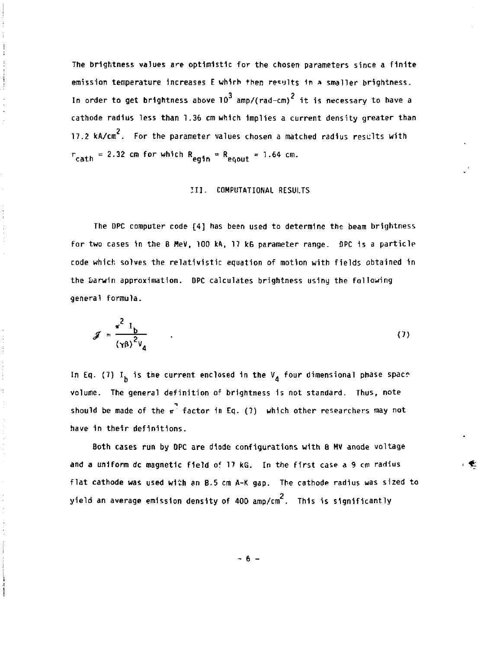**The brightness values are optimistic for the chosen parameters since a finite emission temperature Increases E whirh then results in a smaller brightness.**   $^3$  amplitude onl<sup>2</sup>. **In order to get brightness above 10 amp/(rad-cm) it is necessary to have a cathode radius less than 1.36 cm which Implies a current density greater than 2 17.2 kA/cm . For the parameter values chosen a matched radius resclts with**   $r_{\text{cath}} = 2.32 \text{ cm}$  for which  $R_{\text{eqin}} = R_{\text{e,out}} = 1.64 \text{ cm}$ .

### **III. COMPUTATIONAL RESULTS**

**The DPC computer code [4] has been used to determine the beam brightness for two cases in the 8 MeV, 100 kA, 17 kG parameter range. DPC is a particle**  code which solves the relativistic equation of motion with fields obtained in **the tiarwin approximation. DPC calculates brightness usiny the following general formula.** 

$$
\mathcal{J} = \frac{\pi^2 I_b}{(\gamma \beta)^2 v_a} \tag{7}
$$

In Eq. (7)  $I_h$  is the current enclosed in the  $V_A$  four dimensional phase space **volume. The general definition of brightness 1s not standard. Thus, note**  should be made of the  $\pi^2$  factor in Eq. (7) which other researchers may not **have in their definitions.** 

**Both cases run by OPC are diode configurations with 8 Mv anode voltage and a uniform dc magnetic field of 17 kG. In the first case a 9 cm radius flat cathode was used with an 8.5 cm A-K gap. The cathode radius was sized to yield an average emission density of 400 amp/cm . This is significantly** 

**- 6 -**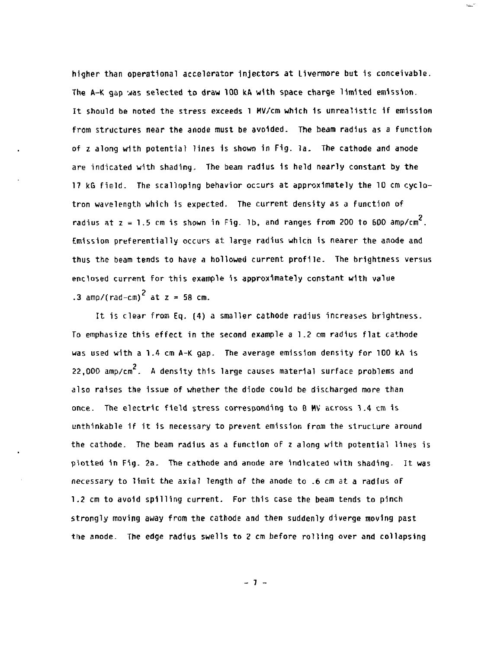**higher than operational accelerator injectors at Uvermore but 1s conceivable.**  The A-K gap was selected to draw 100 kA with space charge limited emission. **It should be noted the stress exceeds 1 MV/cm which 1s unrealistic 1f emission from structures near the anode must be avoided. The beam radius as a function of z along with potential lines 1s shown in Fig. la. The cathode and anode are indicated with shading. The beam radius 1s held nearly constant by the 17 kG field. The scalloping behavior occurs at approximately the 10 cm cyclotron wavelength which is expected. The current density as a function of**  radius at  $z = 1.5$  cm is shown in Fig. 1b, and ranges from 200 to 600 amp/cm<sup>2</sup>. Emission preferentially occurs at large radius which is nearer the anode and thus the beam tends to have a hollowed current profile. The brightness versus enclosed current for this example is approximately constant with value **enclosed current for this example is approximately constant with value** 

 $\rm{km}^{-1}$ 

It is clear from Eq. (4) a smaller cathode radius increases brightness. To emphasize this effect in the second example a 1.2 cm radius flat cathode was used with a 1.4 cm A-K gap. The average emission density for 100 kA is 22,000 amp/cm<sup>2</sup>. A density this large causes material surface problems and also raises the issue of whether the diode could be discharged more than ance. The electric field stress corresponding to B MV across 1.4 cm is unthinkable if it is necessary to prevent emission from the structure around the cathode. The beam radius as a function of z along with potential lines is plotted in Fig. 2a. The cathode and anode are indicated with shading. It was necessary to limit the axial length of the anode to .6 cm at a radius of 1.2 cm to avoid spilling current. For this case the beam tends to pinch strongly moving away from the cathode and then suddenly diverge moving past the anode. The edge radius swells to 2 cm before rolling over and collapsing

**- 7 -**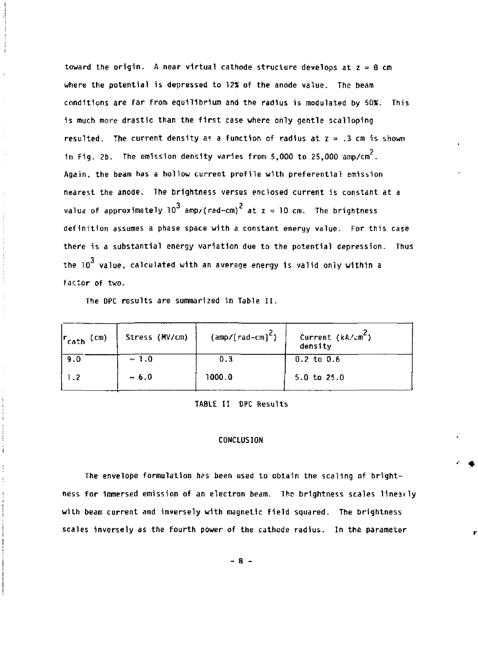toward the origin. A near virtual cathode structure develops at  $z = 8$  cm **where the potential is depressed to 12S of the anode value. The beam conditions are far from equilibrium and the radius is modulated by 50%. This is much more drastic than the first case where only gentle scalloping resulted.** The current density as a function of radius at  $z = .3$  cm is shown in Fig. 2b. The emission density varies from 5,000 to 25,000  $\text{amp/cm}^2$ . **Again, the beam has a hollow current profile with preferential emission nearest the anode. The brightness versus enclosed current is constant at a**  value of approximately  $10^3$  amp/(red-cm)<sup>2</sup> at  $z = 10$  cm. The brightness definition assumes a phase space with a constant energy value. For this case there is a substantial energy variation due to the potential depression. Thus **there is a substantial energy variation due to the potential depression. Thus the 10 value, calculated with an average energy is valid only within a factor of two.** 

**The DPC results are summarized in Table II.** 

| $ r_{\text{cath}}$ (cm) | Stress (MV/cm) | $(\text{amp}/[\text{rad-cm}]^2)$ | Current $(kA/cm^2)$<br>density |
|-------------------------|----------------|----------------------------------|--------------------------------|
| 9.0                     | ~1.0           | 0.3                              | $0.2$ to $0.6$                 |
| 1.2                     | ~10.6          | 1000.0                           | $5.0 \text{ to } 25.0$         |

## **TABLE II DPC Results**

### **CONCLUSION**

**The envelope formulation has been used to obtain the scaling of brightness for immersed emission of an electron beam. The brightness scales linearly with beam current and inversely with magnetic field squared- The brightness scales Inversely as the fourth power of the cathode radius. In the parameter** 

**- 8 -**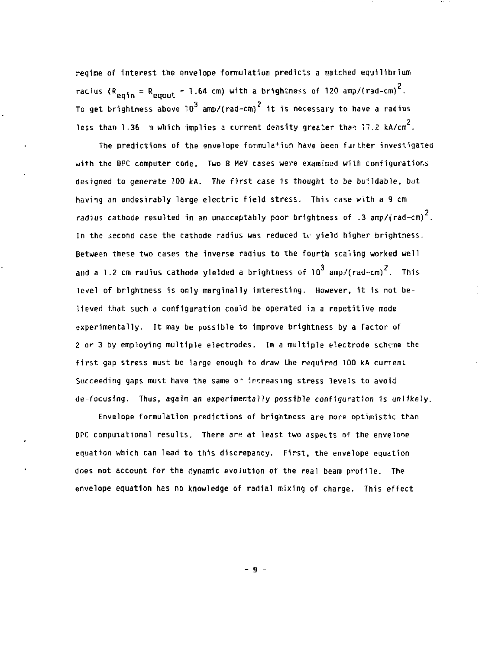**regime of Interest the envelope formulation predicts a matched equilibrium 2 racius (R , = R . = 1.64 cm) with a brightness of 120 amp/(rad-cm) .**  To get brightness above  $10^3$  amp/(rad-cm)<sup>2</sup> it is necessary to have a radius less than 1.36 Im which implies a current density greater than 17.2 kA/cm<sup>2</sup>.

**The predictions of the envelope formulation have been fjrther investigated with the OPC computer code. Two 8 HeV cases were examined with configurations designed to generate 100 kA. The first case is thought to be buildable, but having an undesirably large electric field stress. This case vith a 9 cm 2 radius cathode resulted in an unacceptably poor brightness of .3 amp/(rad-cm) . In the second case the cathode radius was reduced ti<sup>i</sup> yield higher brightness. Between these two cases the Inverse radius to the fourth scaling worked well**  and a 1.2 cm radius cathode yielded a brightness of  $10^3$  amp/(rad-cm)<sup>2</sup>. This level of brightness is only marginally interesting. However, it is not believed that such a configuration could be operated in a repetitive mode experimentally. It may be possible to improve brightness by a factor of 2 or 3 by employing multiple electrodes. In a multiple electrode scheme the

equation which can lead to this discrepancy. First, the envelope equation does not account for the dynamic evolution of the real beam profile. The envelope equation has no knowledge of radial mixing of charge. This effect

**- 9 -**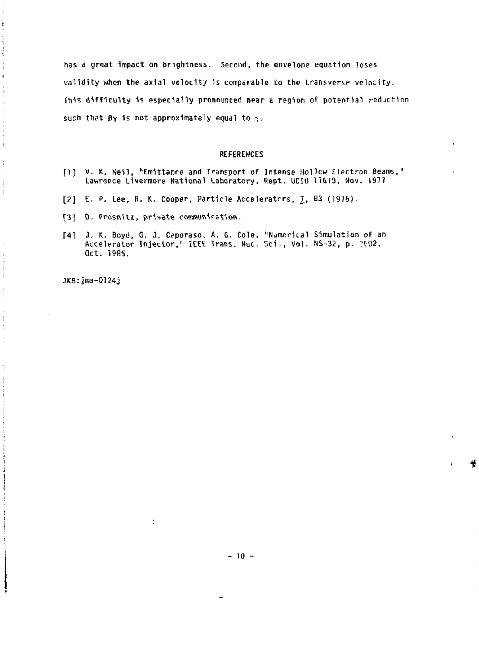has a great impact on brightness. Second, the envelope equation loses validity when the axial velocity is comparable to the transverse velocity. This difficulty is especially pronounced near a region of potential reduction such that  $\beta\gamma$  is not approximately equal to  $\gamma$ .

#### **REFERENCES**

- [1] V. K. Neil, "Emittance and Transport of Intense Hollow Electron Beams," Lawrence Livermore National Laboratory, Rept. UCID 17673, Nov. 1977.
- [2] E. P. Lee, R. K. Cooper, Particle Accelerators, 1, 83 (1976).
- [3] O. Prosnitz, private communication.
- [4] J. K. Boyd, G. J. Caporaso, A. G. Cole, "Numerical Simulation of an Accelerator Injector," IEEE Trans. Nuc. Sci., Vol. NS-32, p. 2002, Oct. 1985.

JKB: jma-0124j

 $\eta$ 

÷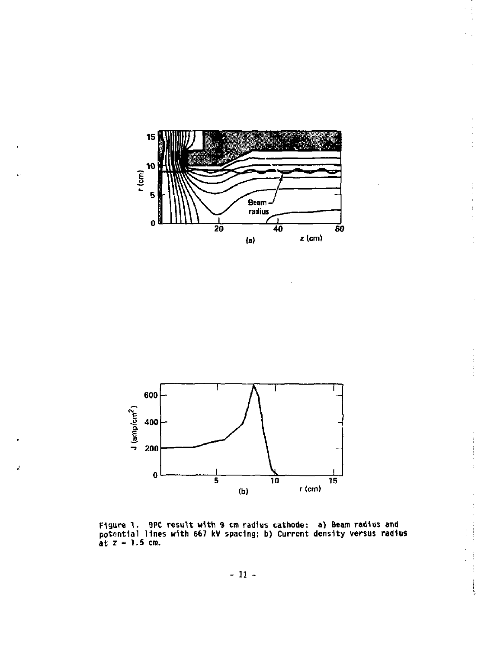

ł,

ミート

 $\frac{1}{2}$  $\frac{1}{2}$ 

Í



ż

Figure 1. BPC result with 9 cm radius cathode: a) Beam radius and potential lines with 667 kV spacing; b) Current density versus radius at  $z = 1.5$  cm.